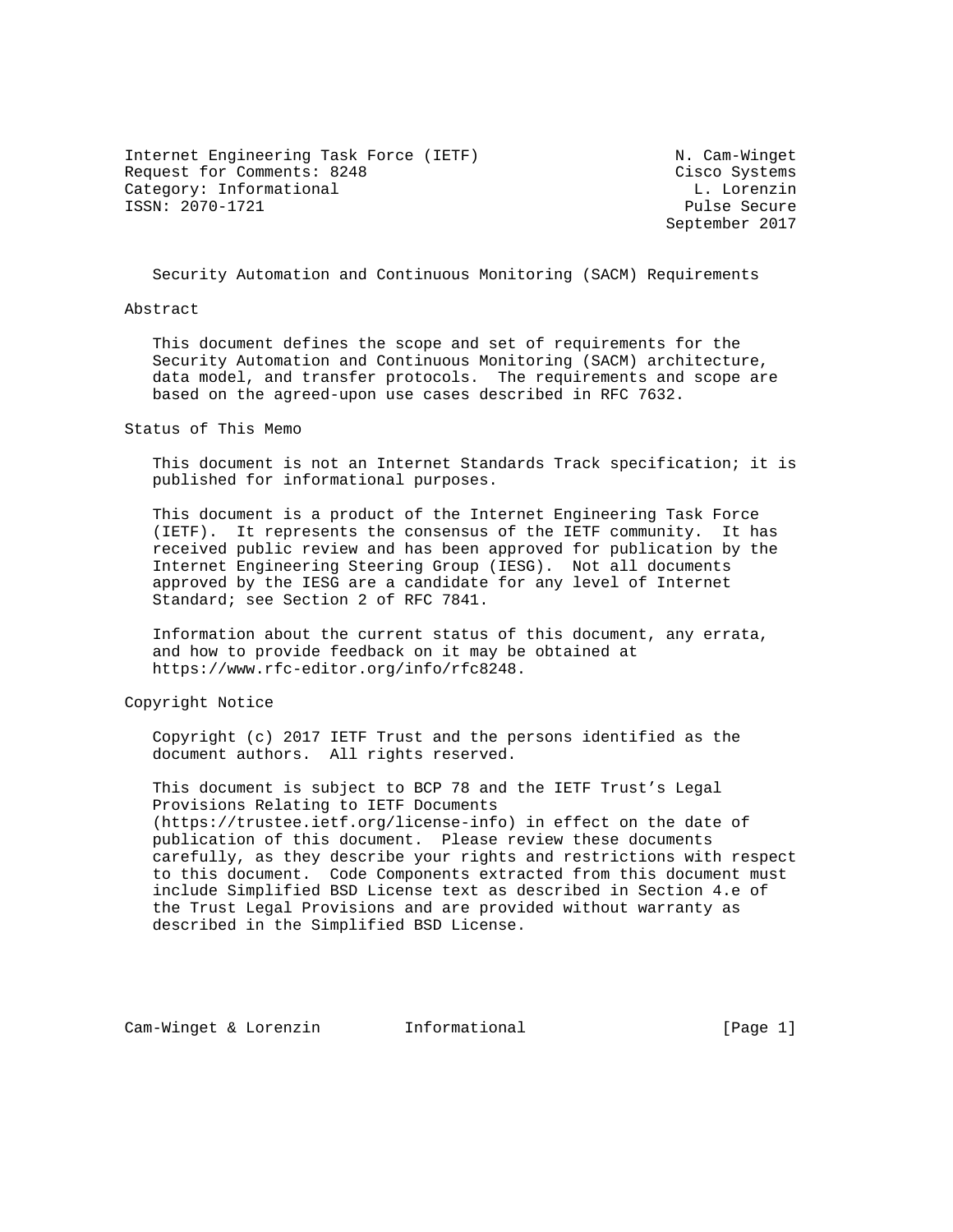Internet Engineering Task Force (IETF) N. Cam-Winget Request for Comments: 8248 Cisco Systems Category: Informational and L. Lorenzin ISSN: 2070-1721 Pulse Secure

September 2017

Security Automation and Continuous Monitoring (SACM) Requirements

Abstract

 This document defines the scope and set of requirements for the Security Automation and Continuous Monitoring (SACM) architecture, data model, and transfer protocols. The requirements and scope are based on the agreed-upon use cases described in RFC 7632.

Status of This Memo

 This document is not an Internet Standards Track specification; it is published for informational purposes.

 This document is a product of the Internet Engineering Task Force (IETF). It represents the consensus of the IETF community. It has received public review and has been approved for publication by the Internet Engineering Steering Group (IESG). Not all documents approved by the IESG are a candidate for any level of Internet Standard; see Section 2 of RFC 7841.

 Information about the current status of this document, any errata, and how to provide feedback on it may be obtained at https://www.rfc-editor.org/info/rfc8248.

Copyright Notice

 Copyright (c) 2017 IETF Trust and the persons identified as the document authors. All rights reserved.

 This document is subject to BCP 78 and the IETF Trust's Legal Provisions Relating to IETF Documents (https://trustee.ietf.org/license-info) in effect on the date of publication of this document. Please review these documents carefully, as they describe your rights and restrictions with respect to this document. Code Components extracted from this document must include Simplified BSD License text as described in Section 4.e of the Trust Legal Provisions and are provided without warranty as described in the Simplified BSD License.

Cam-Winget & Lorenzin Informational [Page 1]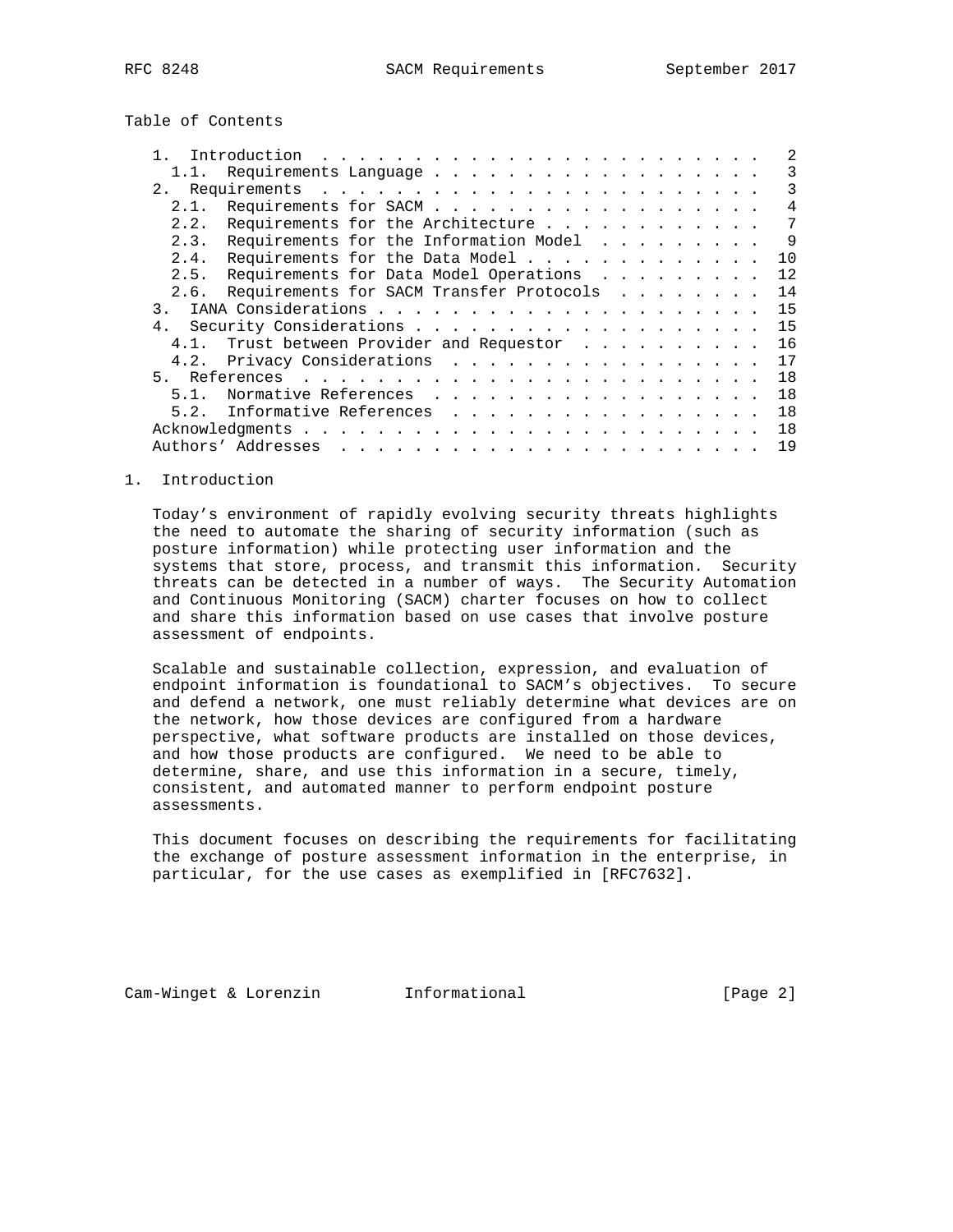Table of Contents

|                |                                                  |  |  |  |  | 2               |
|----------------|--------------------------------------------------|--|--|--|--|-----------------|
|                | Requirements Language                            |  |  |  |  | 3               |
| 2.             |                                                  |  |  |  |  | 3               |
|                | Requirements for SACM<br>2.1.                    |  |  |  |  | 4               |
|                | Requirements for the Architecture<br>2.2.        |  |  |  |  | $7\phantom{.0}$ |
|                | Requirements for the Information Model<br>2.3.   |  |  |  |  | $\mathsf{Q}$    |
|                | Requirements for the Data Model<br>2.4.          |  |  |  |  | 10              |
|                | Requirements for Data Model Operations<br>2.5.   |  |  |  |  | 12              |
|                | Requirements for SACM Transfer Protocols<br>2.6. |  |  |  |  | 14              |
| 3              |                                                  |  |  |  |  | 15              |
| 4 <sub>1</sub> |                                                  |  |  |  |  | 15              |
|                | Trust between Provider and Requestor             |  |  |  |  | 16              |
|                | Privacy Considerations<br>4.2.                   |  |  |  |  | 17              |
|                |                                                  |  |  |  |  | 18              |
|                | Normative References<br>51                       |  |  |  |  | 18              |
|                | Informative References<br>5.2.                   |  |  |  |  | 18              |
|                |                                                  |  |  |  |  | 18              |
|                |                                                  |  |  |  |  | 19              |

## 1. Introduction

 Today's environment of rapidly evolving security threats highlights the need to automate the sharing of security information (such as posture information) while protecting user information and the systems that store, process, and transmit this information. Security threats can be detected in a number of ways. The Security Automation and Continuous Monitoring (SACM) charter focuses on how to collect and share this information based on use cases that involve posture assessment of endpoints.

 Scalable and sustainable collection, expression, and evaluation of endpoint information is foundational to SACM's objectives. To secure and defend a network, one must reliably determine what devices are on the network, how those devices are configured from a hardware perspective, what software products are installed on those devices, and how those products are configured. We need to be able to determine, share, and use this information in a secure, timely, consistent, and automated manner to perform endpoint posture assessments.

 This document focuses on describing the requirements for facilitating the exchange of posture assessment information in the enterprise, in particular, for the use cases as exemplified in [RFC7632].

Cam-Winget & Lorenzin Informational [Page 2]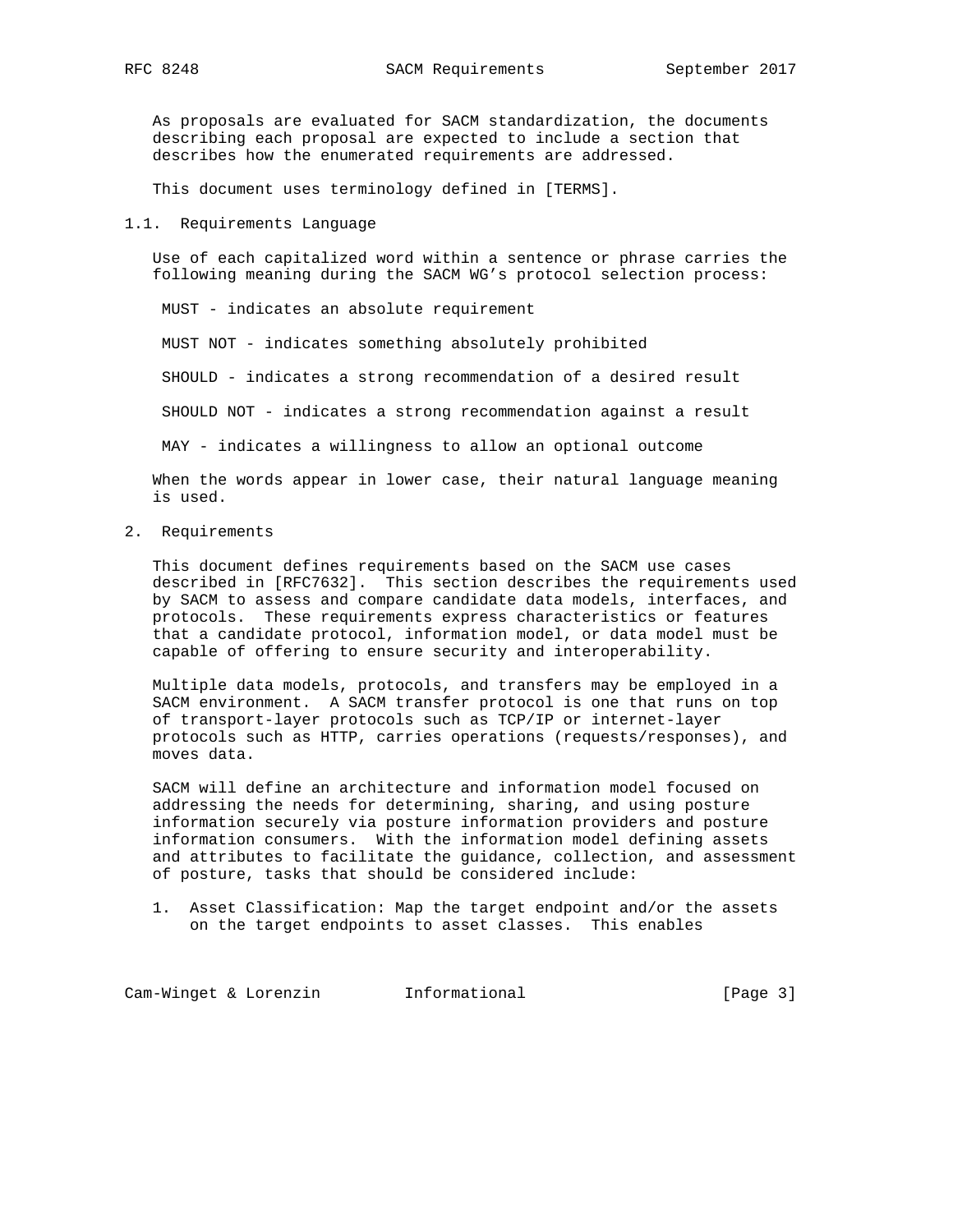As proposals are evaluated for SACM standardization, the documents describing each proposal are expected to include a section that describes how the enumerated requirements are addressed.

This document uses terminology defined in [TERMS].

1.1. Requirements Language

 Use of each capitalized word within a sentence or phrase carries the following meaning during the SACM WG's protocol selection process:

MUST - indicates an absolute requirement

MUST NOT - indicates something absolutely prohibited

SHOULD - indicates a strong recommendation of a desired result

SHOULD NOT - indicates a strong recommendation against a result

MAY - indicates a willingness to allow an optional outcome

 When the words appear in lower case, their natural language meaning is used.

2. Requirements

 This document defines requirements based on the SACM use cases described in [RFC7632]. This section describes the requirements used by SACM to assess and compare candidate data models, interfaces, and protocols. These requirements express characteristics or features that a candidate protocol, information model, or data model must be capable of offering to ensure security and interoperability.

 Multiple data models, protocols, and transfers may be employed in a SACM environment. A SACM transfer protocol is one that runs on top of transport-layer protocols such as TCP/IP or internet-layer protocols such as HTTP, carries operations (requests/responses), and moves data.

 SACM will define an architecture and information model focused on addressing the needs for determining, sharing, and using posture information securely via posture information providers and posture information consumers. With the information model defining assets and attributes to facilitate the guidance, collection, and assessment of posture, tasks that should be considered include:

 1. Asset Classification: Map the target endpoint and/or the assets on the target endpoints to asset classes. This enables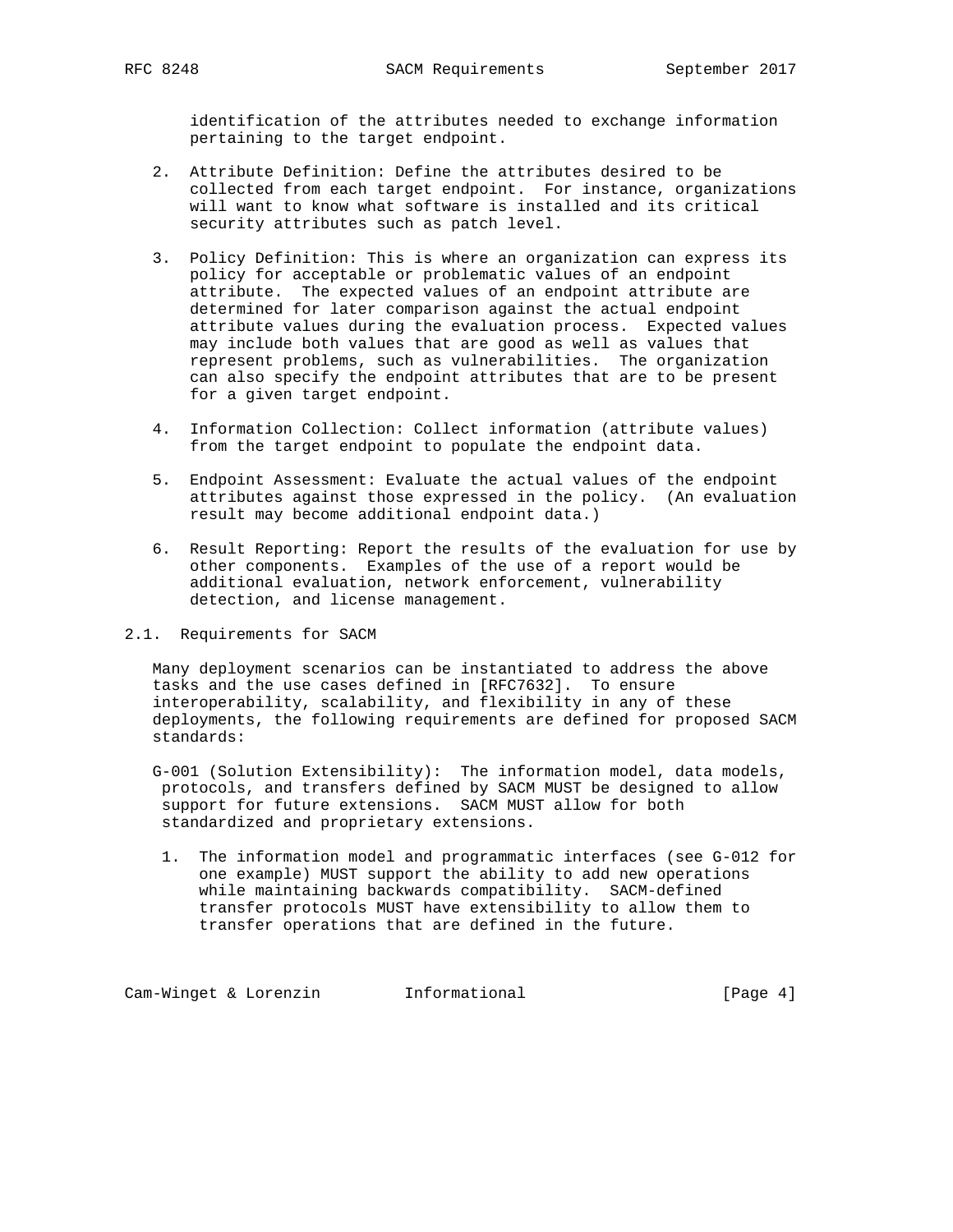identification of the attributes needed to exchange information pertaining to the target endpoint.

- 2. Attribute Definition: Define the attributes desired to be collected from each target endpoint. For instance, organizations will want to know what software is installed and its critical security attributes such as patch level.
- 3. Policy Definition: This is where an organization can express its policy for acceptable or problematic values of an endpoint attribute. The expected values of an endpoint attribute are determined for later comparison against the actual endpoint attribute values during the evaluation process. Expected values may include both values that are good as well as values that represent problems, such as vulnerabilities. The organization can also specify the endpoint attributes that are to be present for a given target endpoint.
- 4. Information Collection: Collect information (attribute values) from the target endpoint to populate the endpoint data.
- 5. Endpoint Assessment: Evaluate the actual values of the endpoint attributes against those expressed in the policy. (An evaluation result may become additional endpoint data.)
- 6. Result Reporting: Report the results of the evaluation for use by other components. Examples of the use of a report would be additional evaluation, network enforcement, vulnerability detection, and license management.

2.1. Requirements for SACM

 Many deployment scenarios can be instantiated to address the above tasks and the use cases defined in [RFC7632]. To ensure interoperability, scalability, and flexibility in any of these deployments, the following requirements are defined for proposed SACM standards:

 G-001 (Solution Extensibility): The information model, data models, protocols, and transfers defined by SACM MUST be designed to allow support for future extensions. SACM MUST allow for both standardized and proprietary extensions.

 1. The information model and programmatic interfaces (see G-012 for one example) MUST support the ability to add new operations while maintaining backwards compatibility. SACM-defined transfer protocols MUST have extensibility to allow them to transfer operations that are defined in the future.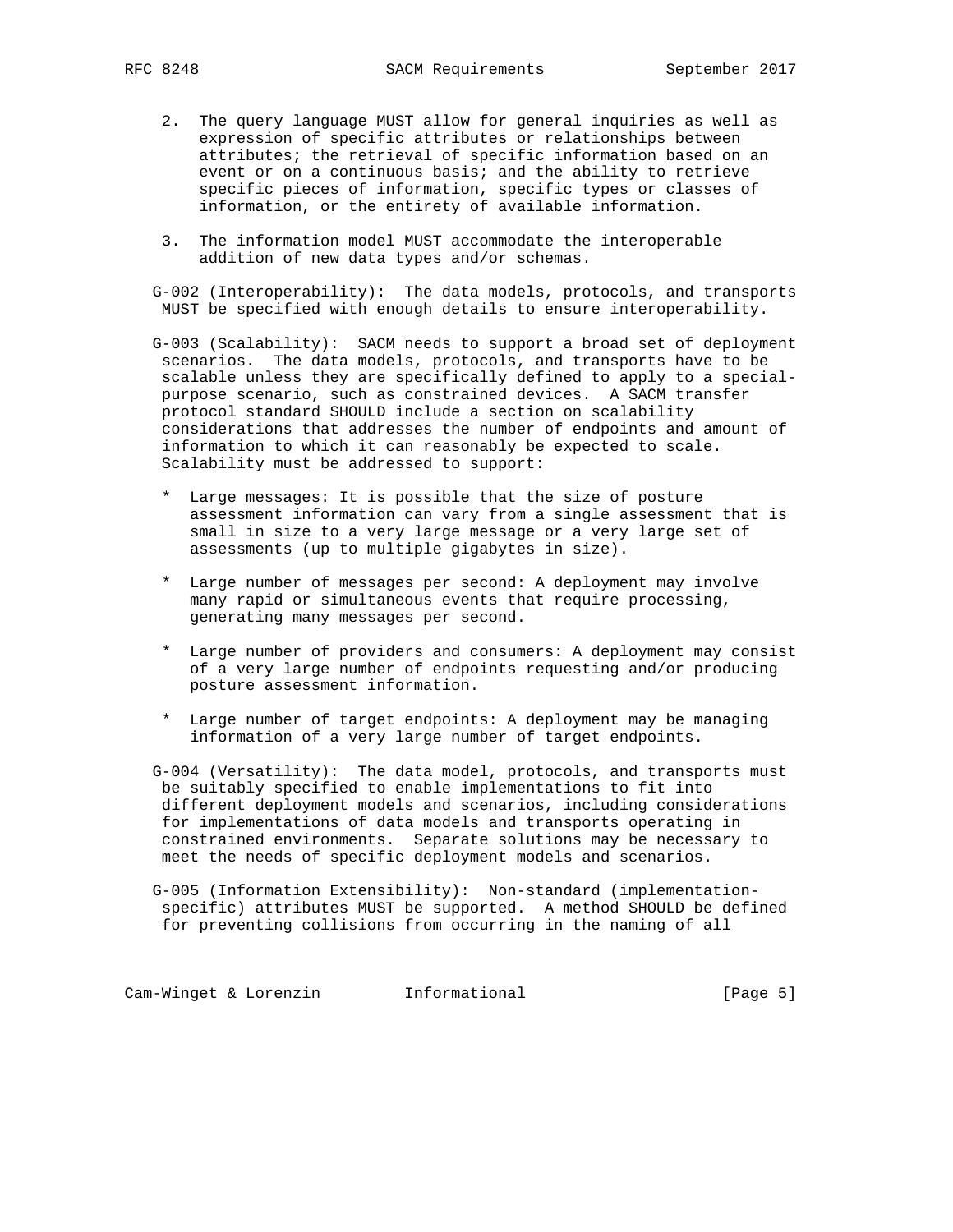- 2. The query language MUST allow for general inquiries as well as expression of specific attributes or relationships between attributes; the retrieval of specific information based on an event or on a continuous basis; and the ability to retrieve specific pieces of information, specific types or classes of information, or the entirety of available information.
- 3. The information model MUST accommodate the interoperable addition of new data types and/or schemas.

 G-002 (Interoperability): The data models, protocols, and transports MUST be specified with enough details to ensure interoperability.

 G-003 (Scalability): SACM needs to support a broad set of deployment scenarios. The data models, protocols, and transports have to be scalable unless they are specifically defined to apply to a special purpose scenario, such as constrained devices. A SACM transfer protocol standard SHOULD include a section on scalability considerations that addresses the number of endpoints and amount of information to which it can reasonably be expected to scale. Scalability must be addressed to support:

- \* Large messages: It is possible that the size of posture assessment information can vary from a single assessment that is small in size to a very large message or a very large set of assessments (up to multiple gigabytes in size).
- \* Large number of messages per second: A deployment may involve many rapid or simultaneous events that require processing, generating many messages per second.
- \* Large number of providers and consumers: A deployment may consist of a very large number of endpoints requesting and/or producing posture assessment information.
- \* Large number of target endpoints: A deployment may be managing information of a very large number of target endpoints.

 G-004 (Versatility): The data model, protocols, and transports must be suitably specified to enable implementations to fit into different deployment models and scenarios, including considerations for implementations of data models and transports operating in constrained environments. Separate solutions may be necessary to meet the needs of specific deployment models and scenarios.

 G-005 (Information Extensibility): Non-standard (implementation specific) attributes MUST be supported. A method SHOULD be defined for preventing collisions from occurring in the naming of all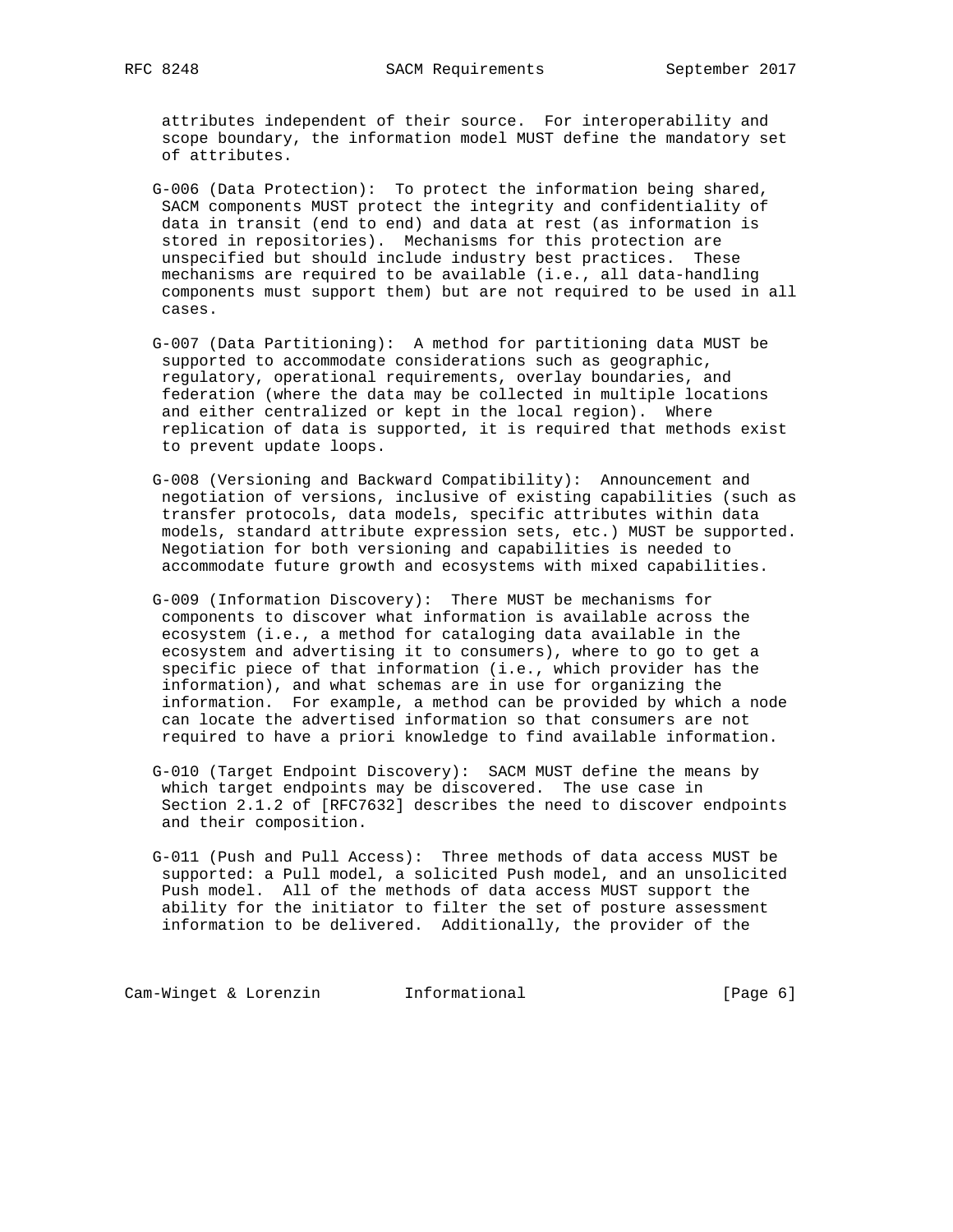attributes independent of their source. For interoperability and scope boundary, the information model MUST define the mandatory set of attributes.

- G-006 (Data Protection): To protect the information being shared, SACM components MUST protect the integrity and confidentiality of data in transit (end to end) and data at rest (as information is stored in repositories). Mechanisms for this protection are unspecified but should include industry best practices. These mechanisms are required to be available (i.e., all data-handling components must support them) but are not required to be used in all cases.
- G-007 (Data Partitioning): A method for partitioning data MUST be supported to accommodate considerations such as geographic, regulatory, operational requirements, overlay boundaries, and federation (where the data may be collected in multiple locations and either centralized or kept in the local region). Where replication of data is supported, it is required that methods exist to prevent update loops.
- G-008 (Versioning and Backward Compatibility): Announcement and negotiation of versions, inclusive of existing capabilities (such as transfer protocols, data models, specific attributes within data models, standard attribute expression sets, etc.) MUST be supported. Negotiation for both versioning and capabilities is needed to accommodate future growth and ecosystems with mixed capabilities.
- G-009 (Information Discovery): There MUST be mechanisms for components to discover what information is available across the ecosystem (i.e., a method for cataloging data available in the ecosystem and advertising it to consumers), where to go to get a specific piece of that information (i.e., which provider has the information), and what schemas are in use for organizing the information. For example, a method can be provided by which a node can locate the advertised information so that consumers are not required to have a priori knowledge to find available information.
- G-010 (Target Endpoint Discovery): SACM MUST define the means by which target endpoints may be discovered. The use case in Section 2.1.2 of [RFC7632] describes the need to discover endpoints and their composition.
- G-011 (Push and Pull Access): Three methods of data access MUST be supported: a Pull model, a solicited Push model, and an unsolicited Push model. All of the methods of data access MUST support the ability for the initiator to filter the set of posture assessment information to be delivered. Additionally, the provider of the

Cam-Winget & Lorenzin **Informational** [Page 6]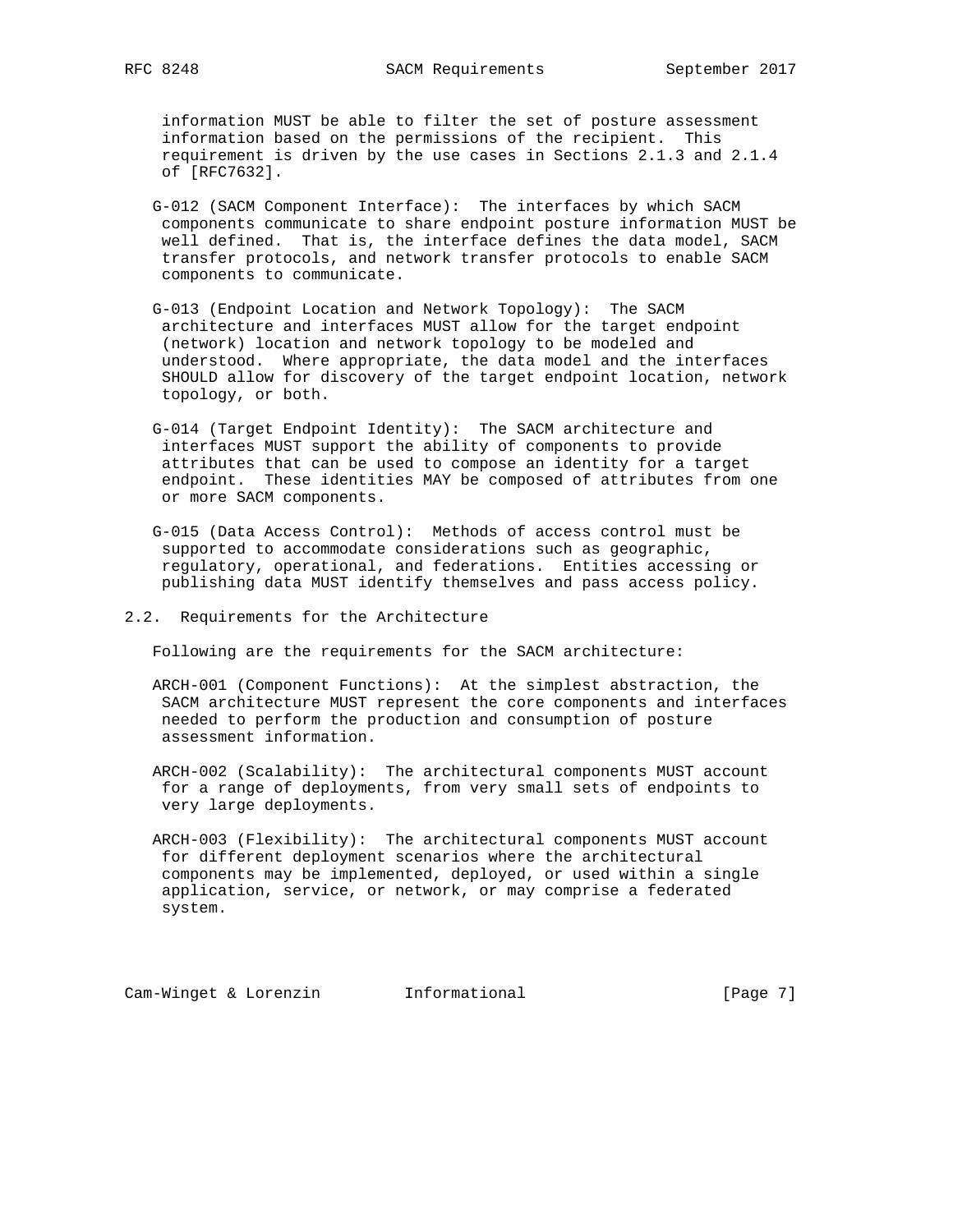information MUST be able to filter the set of posture assessment information based on the permissions of the recipient. This requirement is driven by the use cases in Sections 2.1.3 and 2.1.4 of [RFC7632].

- G-012 (SACM Component Interface): The interfaces by which SACM components communicate to share endpoint posture information MUST be well defined. That is, the interface defines the data model, SACM transfer protocols, and network transfer protocols to enable SACM components to communicate.
- G-013 (Endpoint Location and Network Topology): The SACM architecture and interfaces MUST allow for the target endpoint (network) location and network topology to be modeled and understood. Where appropriate, the data model and the interfaces SHOULD allow for discovery of the target endpoint location, network topology, or both.
- G-014 (Target Endpoint Identity): The SACM architecture and interfaces MUST support the ability of components to provide attributes that can be used to compose an identity for a target endpoint. These identities MAY be composed of attributes from one or more SACM components.
- G-015 (Data Access Control): Methods of access control must be supported to accommodate considerations such as geographic, regulatory, operational, and federations. Entities accessing or publishing data MUST identify themselves and pass access policy.
- 2.2. Requirements for the Architecture

Following are the requirements for the SACM architecture:

- ARCH-001 (Component Functions): At the simplest abstraction, the SACM architecture MUST represent the core components and interfaces needed to perform the production and consumption of posture assessment information.
- ARCH-002 (Scalability): The architectural components MUST account for a range of deployments, from very small sets of endpoints to very large deployments.
- ARCH-003 (Flexibility): The architectural components MUST account for different deployment scenarios where the architectural components may be implemented, deployed, or used within a single application, service, or network, or may comprise a federated system.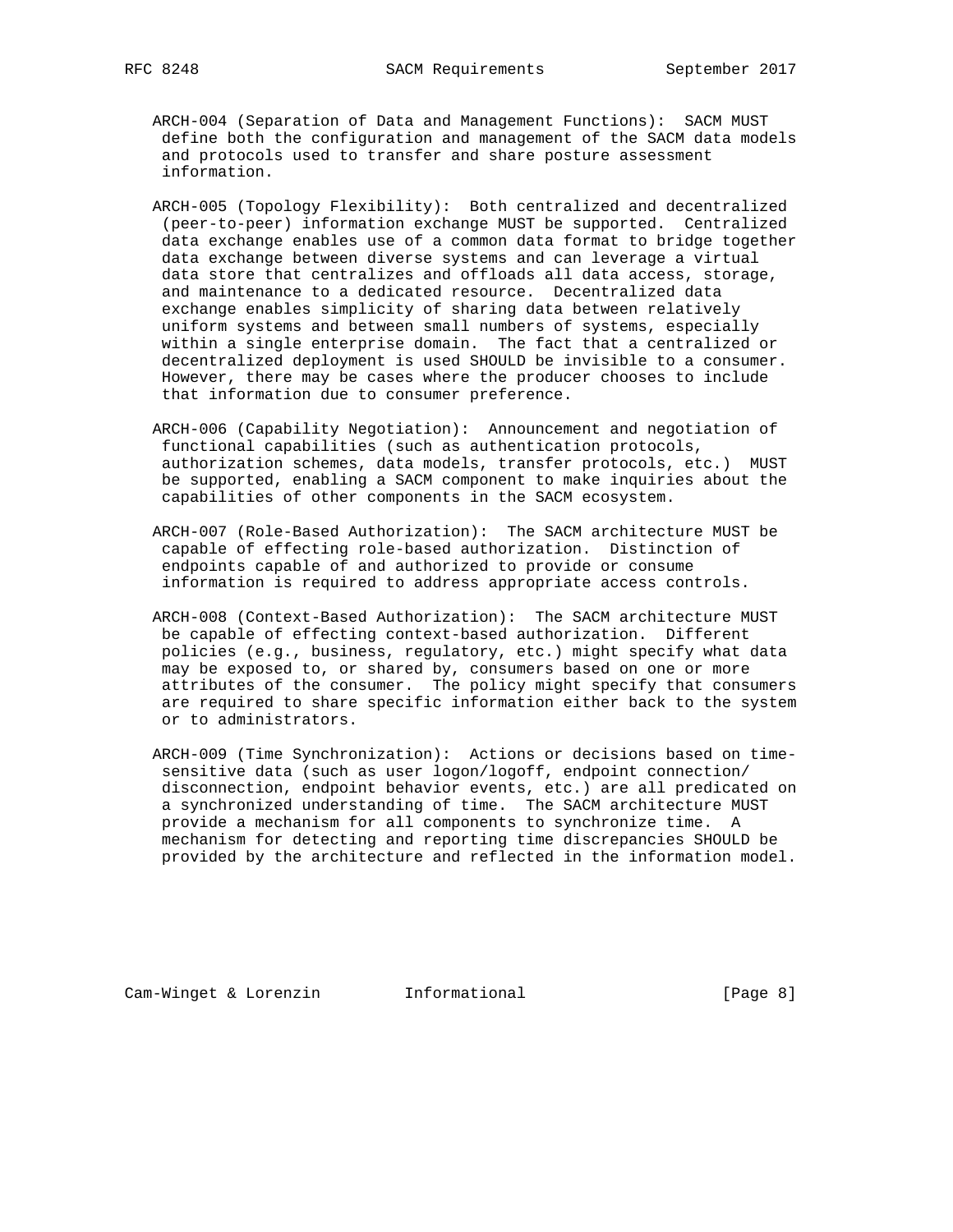- ARCH-004 (Separation of Data and Management Functions): SACM MUST define both the configuration and management of the SACM data models and protocols used to transfer and share posture assessment information.
- ARCH-005 (Topology Flexibility): Both centralized and decentralized (peer-to-peer) information exchange MUST be supported. Centralized data exchange enables use of a common data format to bridge together data exchange between diverse systems and can leverage a virtual data store that centralizes and offloads all data access, storage, and maintenance to a dedicated resource. Decentralized data exchange enables simplicity of sharing data between relatively uniform systems and between small numbers of systems, especially within a single enterprise domain. The fact that a centralized or decentralized deployment is used SHOULD be invisible to a consumer. However, there may be cases where the producer chooses to include that information due to consumer preference.
- ARCH-006 (Capability Negotiation): Announcement and negotiation of functional capabilities (such as authentication protocols, authorization schemes, data models, transfer protocols, etc.) MUST be supported, enabling a SACM component to make inquiries about the capabilities of other components in the SACM ecosystem.
- ARCH-007 (Role-Based Authorization): The SACM architecture MUST be capable of effecting role-based authorization. Distinction of endpoints capable of and authorized to provide or consume information is required to address appropriate access controls.
- ARCH-008 (Context-Based Authorization): The SACM architecture MUST be capable of effecting context-based authorization. Different policies (e.g., business, regulatory, etc.) might specify what data may be exposed to, or shared by, consumers based on one or more attributes of the consumer. The policy might specify that consumers are required to share specific information either back to the system or to administrators.
- ARCH-009 (Time Synchronization): Actions or decisions based on time sensitive data (such as user logon/logoff, endpoint connection/ disconnection, endpoint behavior events, etc.) are all predicated on a synchronized understanding of time. The SACM architecture MUST provide a mechanism for all components to synchronize time. A mechanism for detecting and reporting time discrepancies SHOULD be provided by the architecture and reflected in the information model.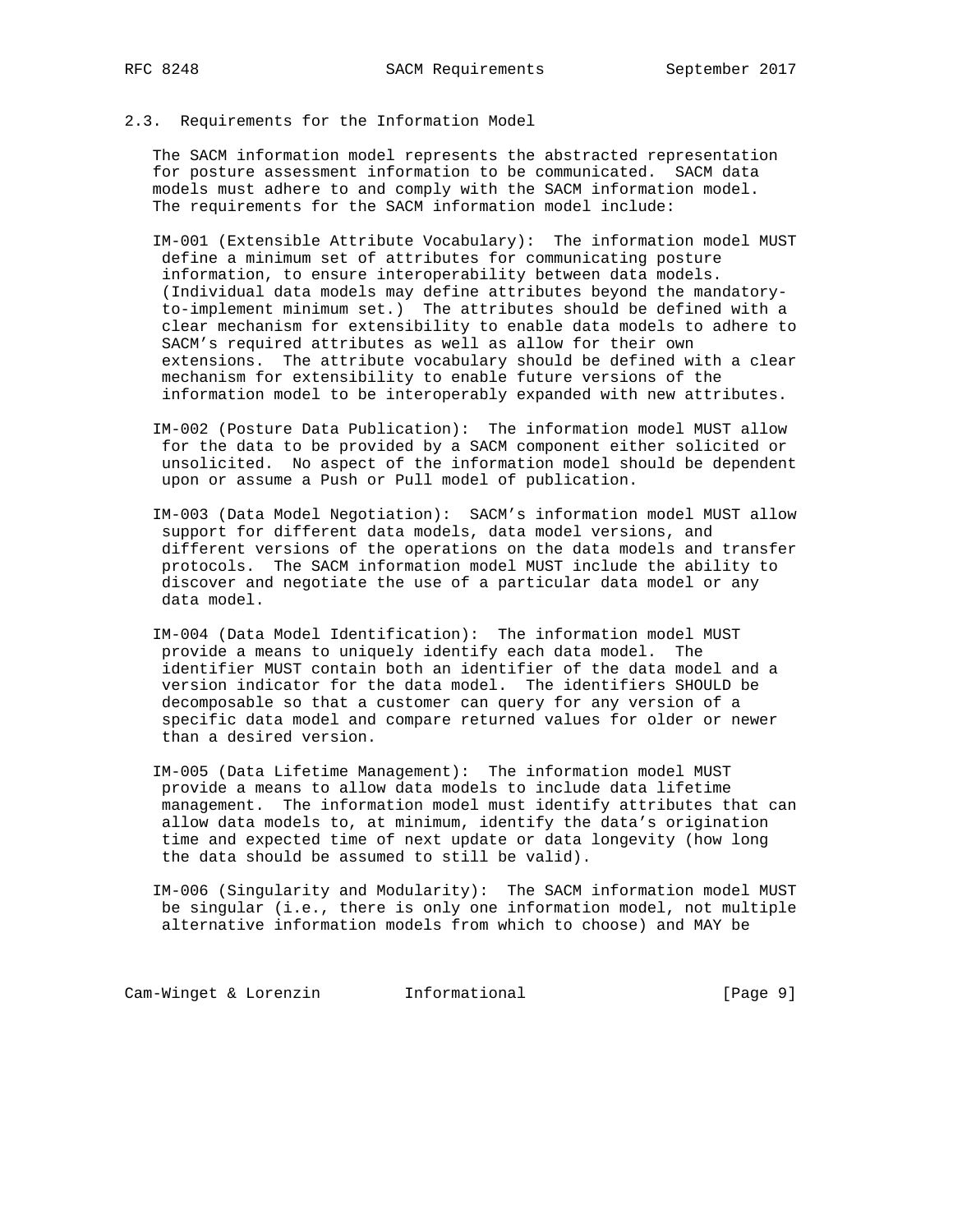# 2.3. Requirements for the Information Model

 The SACM information model represents the abstracted representation for posture assessment information to be communicated. SACM data models must adhere to and comply with the SACM information model. The requirements for the SACM information model include:

 IM-001 (Extensible Attribute Vocabulary): The information model MUST define a minimum set of attributes for communicating posture information, to ensure interoperability between data models. (Individual data models may define attributes beyond the mandatory to-implement minimum set.) The attributes should be defined with a clear mechanism for extensibility to enable data models to adhere to SACM's required attributes as well as allow for their own extensions. The attribute vocabulary should be defined with a clear mechanism for extensibility to enable future versions of the information model to be interoperably expanded with new attributes.

- IM-002 (Posture Data Publication): The information model MUST allow for the data to be provided by a SACM component either solicited or unsolicited. No aspect of the information model should be dependent upon or assume a Push or Pull model of publication.
- IM-003 (Data Model Negotiation): SACM's information model MUST allow support for different data models, data model versions, and different versions of the operations on the data models and transfer protocols. The SACM information model MUST include the ability to discover and negotiate the use of a particular data model or any data model.
- IM-004 (Data Model Identification): The information model MUST provide a means to uniquely identify each data model. The identifier MUST contain both an identifier of the data model and a version indicator for the data model. The identifiers SHOULD be decomposable so that a customer can query for any version of a specific data model and compare returned values for older or newer than a desired version.
- IM-005 (Data Lifetime Management): The information model MUST provide a means to allow data models to include data lifetime management. The information model must identify attributes that can allow data models to, at minimum, identify the data's origination time and expected time of next update or data longevity (how long the data should be assumed to still be valid).
- IM-006 (Singularity and Modularity): The SACM information model MUST be singular (i.e., there is only one information model, not multiple alternative information models from which to choose) and MAY be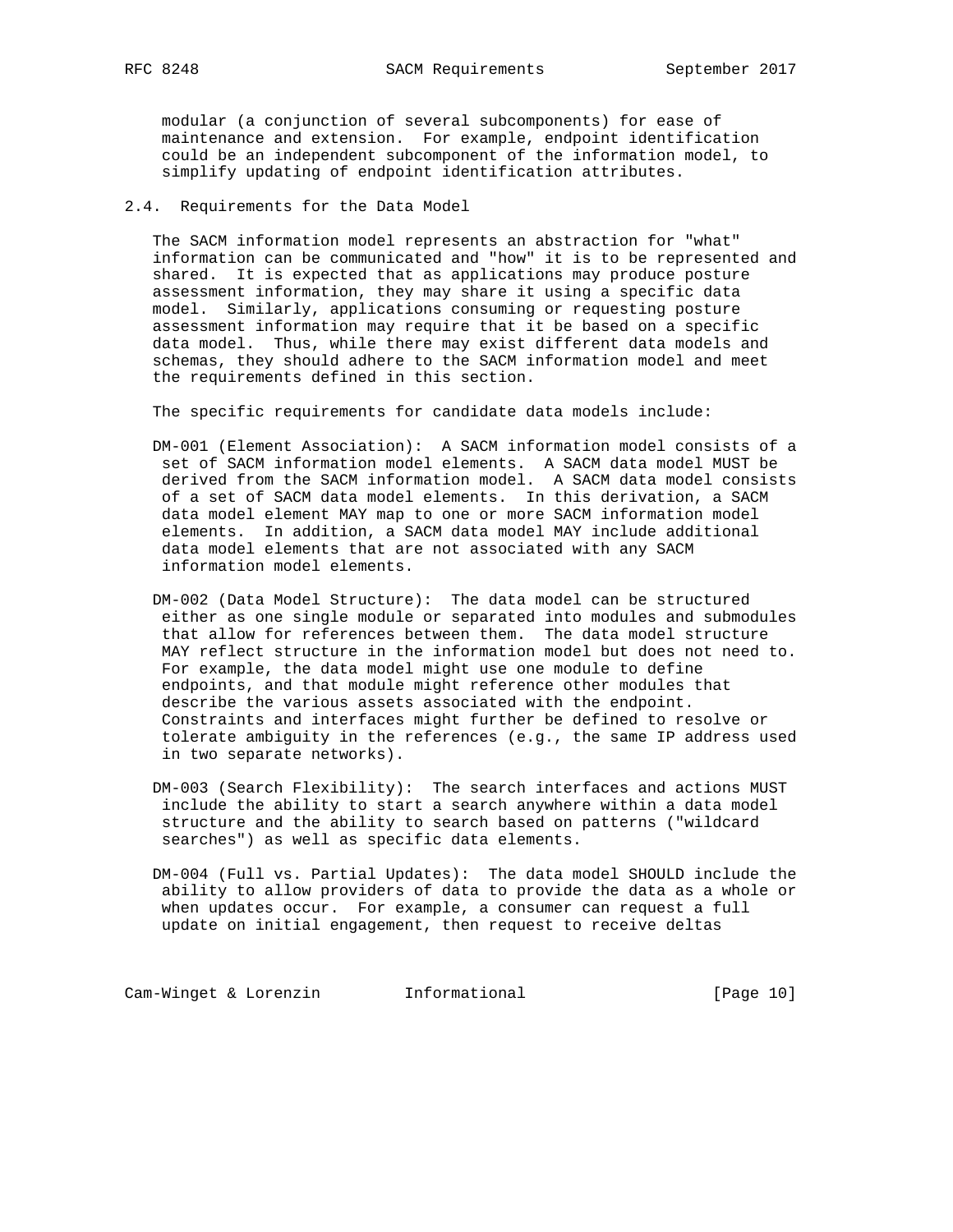modular (a conjunction of several subcomponents) for ease of maintenance and extension. For example, endpoint identification could be an independent subcomponent of the information model, to simplify updating of endpoint identification attributes.

2.4. Requirements for the Data Model

 The SACM information model represents an abstraction for "what" information can be communicated and "how" it is to be represented and shared. It is expected that as applications may produce posture assessment information, they may share it using a specific data model. Similarly, applications consuming or requesting posture assessment information may require that it be based on a specific data model. Thus, while there may exist different data models and schemas, they should adhere to the SACM information model and meet the requirements defined in this section.

The specific requirements for candidate data models include:

- DM-001 (Element Association): A SACM information model consists of a set of SACM information model elements. A SACM data model MUST be derived from the SACM information model. A SACM data model consists of a set of SACM data model elements. In this derivation, a SACM data model element MAY map to one or more SACM information model elements. In addition, a SACM data model MAY include additional data model elements that are not associated with any SACM information model elements.
- DM-002 (Data Model Structure): The data model can be structured either as one single module or separated into modules and submodules that allow for references between them. The data model structure MAY reflect structure in the information model but does not need to. For example, the data model might use one module to define endpoints, and that module might reference other modules that describe the various assets associated with the endpoint. Constraints and interfaces might further be defined to resolve or tolerate ambiguity in the references (e.g., the same IP address used in two separate networks).
- DM-003 (Search Flexibility): The search interfaces and actions MUST include the ability to start a search anywhere within a data model structure and the ability to search based on patterns ("wildcard searches") as well as specific data elements.
- DM-004 (Full vs. Partial Updates): The data model SHOULD include the ability to allow providers of data to provide the data as a whole or when updates occur. For example, a consumer can request a full update on initial engagement, then request to receive deltas

Cam-Winget & Lorenzin **Informational** [Page 10]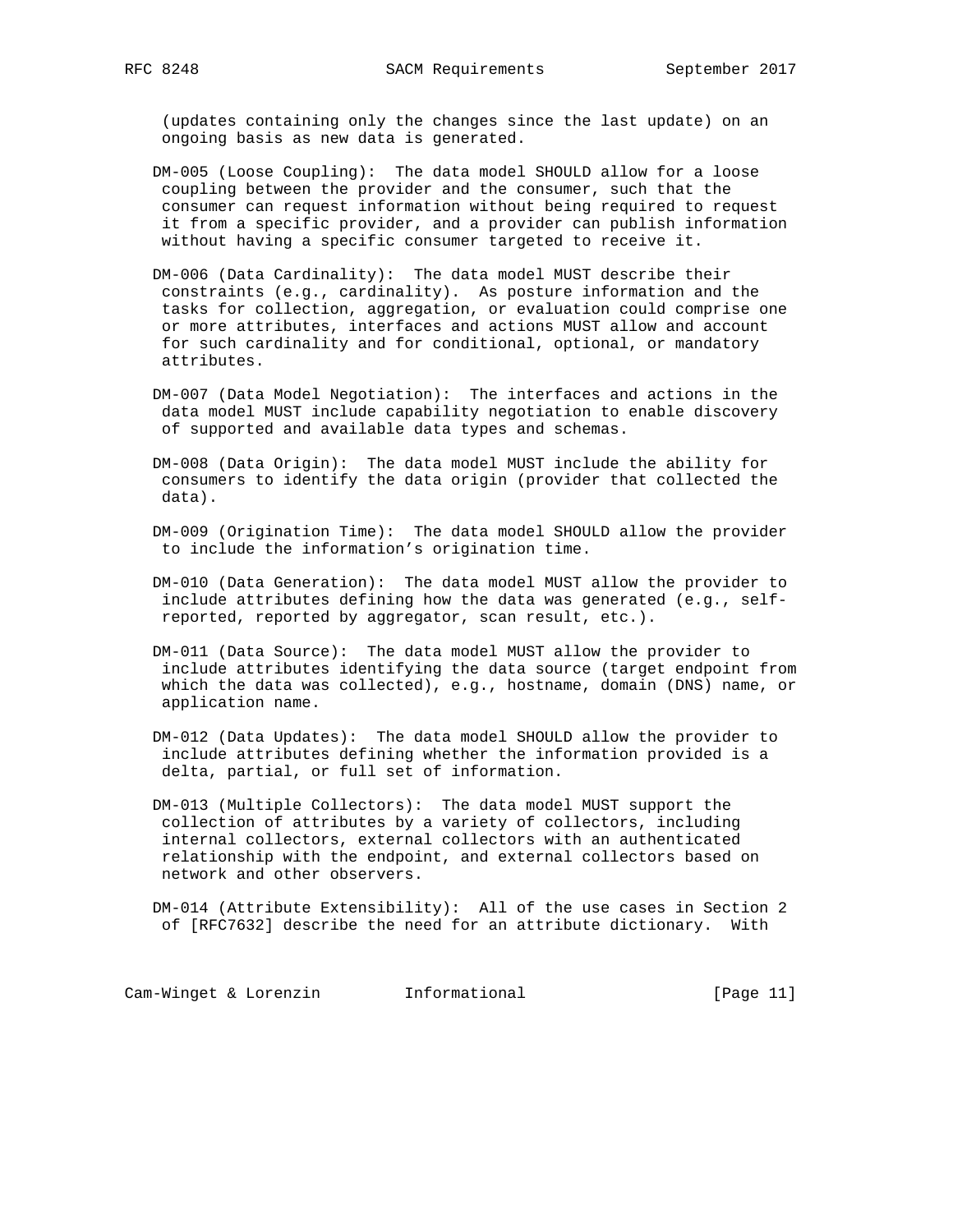(updates containing only the changes since the last update) on an ongoing basis as new data is generated.

- DM-005 (Loose Coupling): The data model SHOULD allow for a loose coupling between the provider and the consumer, such that the consumer can request information without being required to request it from a specific provider, and a provider can publish information without having a specific consumer targeted to receive it.
- DM-006 (Data Cardinality): The data model MUST describe their constraints (e.g., cardinality). As posture information and the tasks for collection, aggregation, or evaluation could comprise one or more attributes, interfaces and actions MUST allow and account for such cardinality and for conditional, optional, or mandatory attributes.
- DM-007 (Data Model Negotiation): The interfaces and actions in the data model MUST include capability negotiation to enable discovery of supported and available data types and schemas.
- DM-008 (Data Origin): The data model MUST include the ability for consumers to identify the data origin (provider that collected the data).
- DM-009 (Origination Time): The data model SHOULD allow the provider to include the information's origination time.
- DM-010 (Data Generation): The data model MUST allow the provider to include attributes defining how the data was generated (e.g., self reported, reported by aggregator, scan result, etc.).
- DM-011 (Data Source): The data model MUST allow the provider to include attributes identifying the data source (target endpoint from which the data was collected), e.g., hostname, domain (DNS) name, or application name.
- DM-012 (Data Updates): The data model SHOULD allow the provider to include attributes defining whether the information provided is a delta, partial, or full set of information.
- DM-013 (Multiple Collectors): The data model MUST support the collection of attributes by a variety of collectors, including internal collectors, external collectors with an authenticated relationship with the endpoint, and external collectors based on network and other observers.

 DM-014 (Attribute Extensibility): All of the use cases in Section 2 of [RFC7632] describe the need for an attribute dictionary. With

Cam-Winget & Lorenzin **Informational Informational** [Page 11]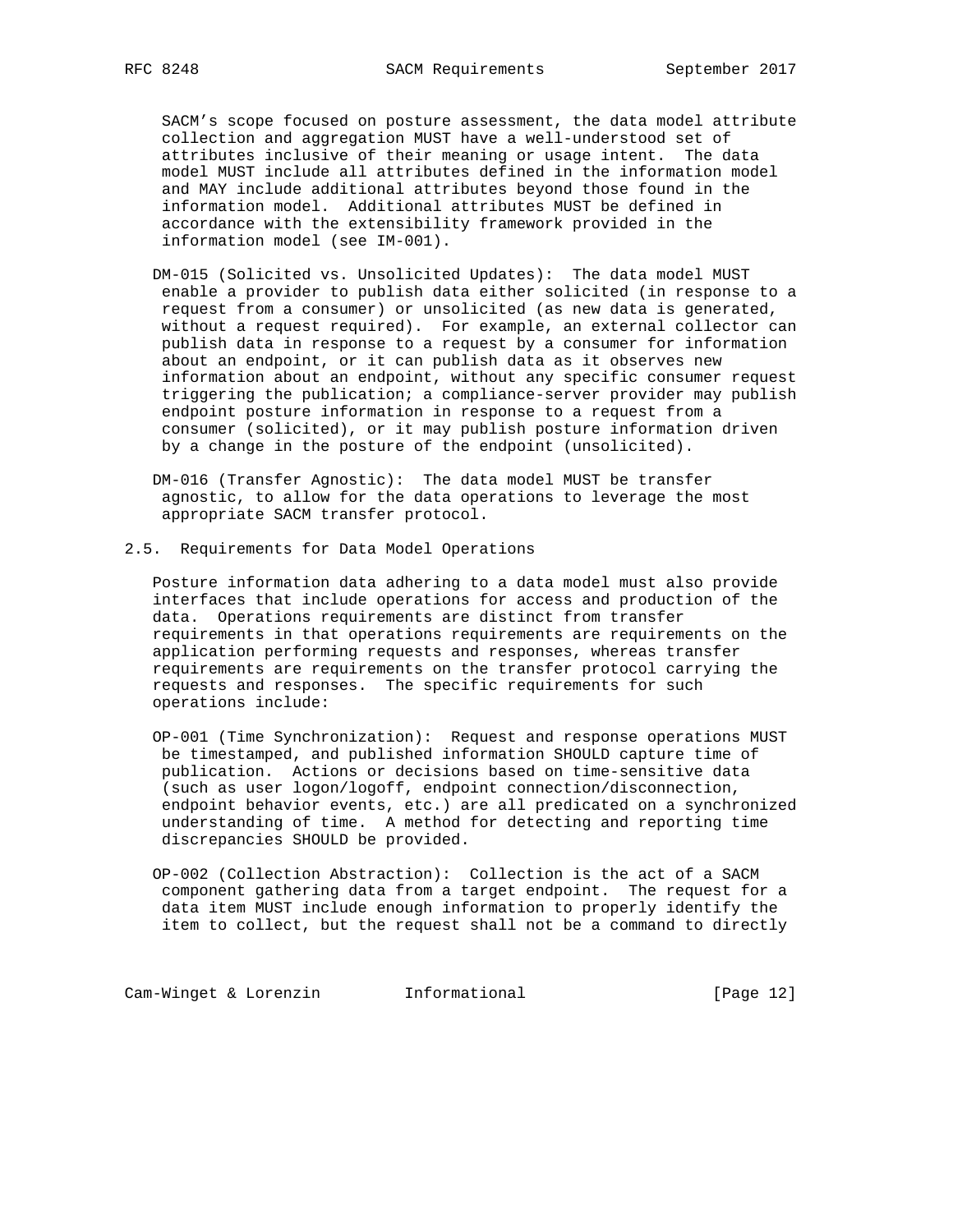SACM's scope focused on posture assessment, the data model attribute collection and aggregation MUST have a well-understood set of attributes inclusive of their meaning or usage intent. The data model MUST include all attributes defined in the information model and MAY include additional attributes beyond those found in the information model. Additional attributes MUST be defined in accordance with the extensibility framework provided in the information model (see IM-001).

 DM-015 (Solicited vs. Unsolicited Updates): The data model MUST enable a provider to publish data either solicited (in response to a request from a consumer) or unsolicited (as new data is generated, without a request required). For example, an external collector can publish data in response to a request by a consumer for information about an endpoint, or it can publish data as it observes new information about an endpoint, without any specific consumer request triggering the publication; a compliance-server provider may publish endpoint posture information in response to a request from a consumer (solicited), or it may publish posture information driven by a change in the posture of the endpoint (unsolicited).

 DM-016 (Transfer Agnostic): The data model MUST be transfer agnostic, to allow for the data operations to leverage the most appropriate SACM transfer protocol.

2.5. Requirements for Data Model Operations

 Posture information data adhering to a data model must also provide interfaces that include operations for access and production of the data. Operations requirements are distinct from transfer requirements in that operations requirements are requirements on the application performing requests and responses, whereas transfer requirements are requirements on the transfer protocol carrying the requests and responses. The specific requirements for such operations include:

 OP-001 (Time Synchronization): Request and response operations MUST be timestamped, and published information SHOULD capture time of publication. Actions or decisions based on time-sensitive data (such as user logon/logoff, endpoint connection/disconnection, endpoint behavior events, etc.) are all predicated on a synchronized understanding of time. A method for detecting and reporting time discrepancies SHOULD be provided.

 OP-002 (Collection Abstraction): Collection is the act of a SACM component gathering data from a target endpoint. The request for a data item MUST include enough information to properly identify the item to collect, but the request shall not be a command to directly

Cam-Winget & Lorenzin **Informational** [Page 12]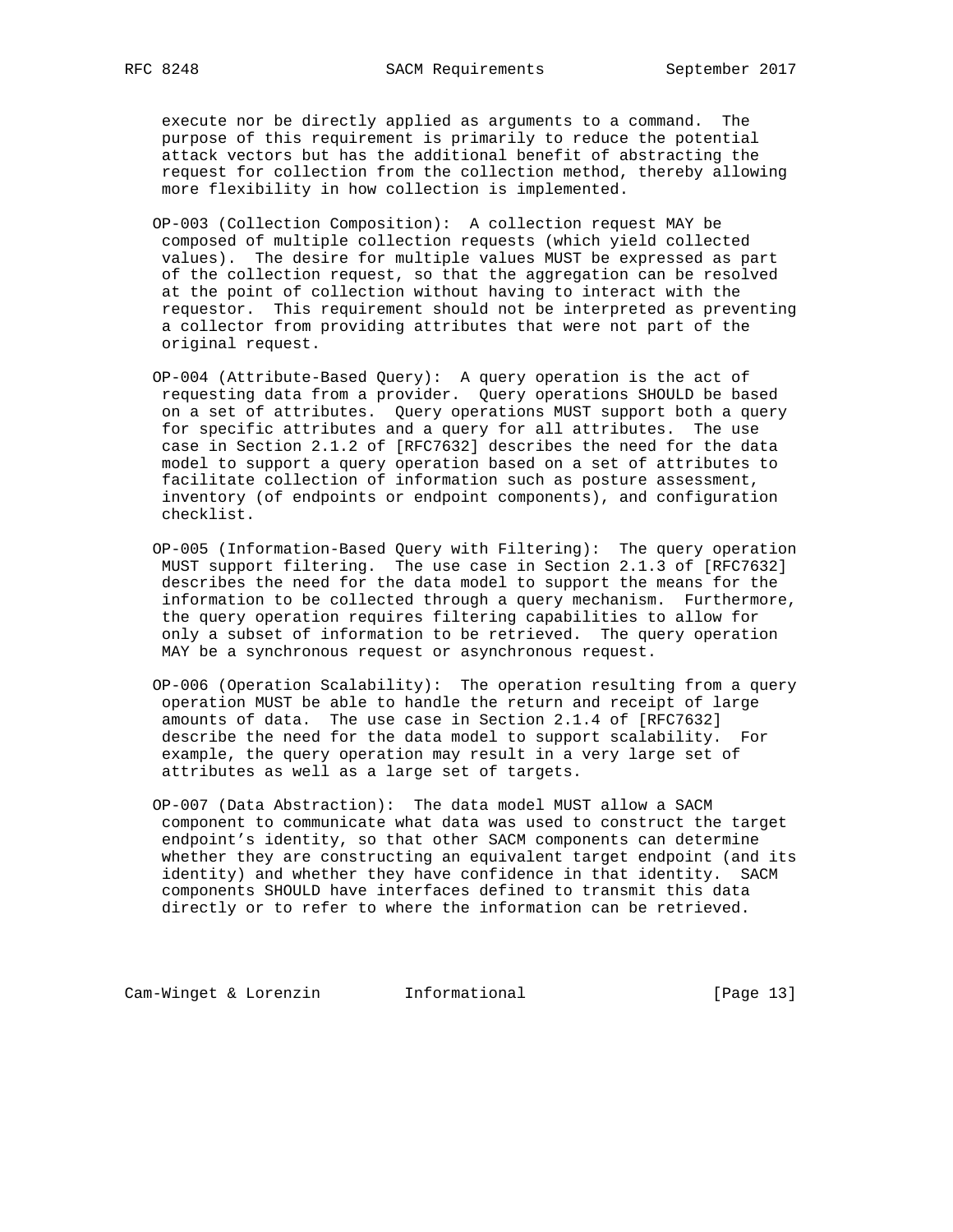execute nor be directly applied as arguments to a command. The purpose of this requirement is primarily to reduce the potential attack vectors but has the additional benefit of abstracting the request for collection from the collection method, thereby allowing more flexibility in how collection is implemented.

- OP-003 (Collection Composition): A collection request MAY be composed of multiple collection requests (which yield collected values). The desire for multiple values MUST be expressed as part of the collection request, so that the aggregation can be resolved at the point of collection without having to interact with the requestor. This requirement should not be interpreted as preventing a collector from providing attributes that were not part of the original request.
- OP-004 (Attribute-Based Query): A query operation is the act of requesting data from a provider. Query operations SHOULD be based on a set of attributes. Query operations MUST support both a query for specific attributes and a query for all attributes. The use case in Section 2.1.2 of [RFC7632] describes the need for the data model to support a query operation based on a set of attributes to facilitate collection of information such as posture assessment, inventory (of endpoints or endpoint components), and configuration checklist.
- OP-005 (Information-Based Query with Filtering): The query operation MUST support filtering. The use case in Section 2.1.3 of [RFC7632] describes the need for the data model to support the means for the information to be collected through a query mechanism. Furthermore, the query operation requires filtering capabilities to allow for only a subset of information to be retrieved. The query operation MAY be a synchronous request or asynchronous request.
- OP-006 (Operation Scalability): The operation resulting from a query operation MUST be able to handle the return and receipt of large amounts of data. The use case in Section 2.1.4 of [RFC7632] describe the need for the data model to support scalability. For example, the query operation may result in a very large set of attributes as well as a large set of targets.
- OP-007 (Data Abstraction): The data model MUST allow a SACM component to communicate what data was used to construct the target endpoint's identity, so that other SACM components can determine whether they are constructing an equivalent target endpoint (and its identity) and whether they have confidence in that identity. SACM components SHOULD have interfaces defined to transmit this data directly or to refer to where the information can be retrieved.

Cam-Winget & Lorenzin **Informational** [Page 13]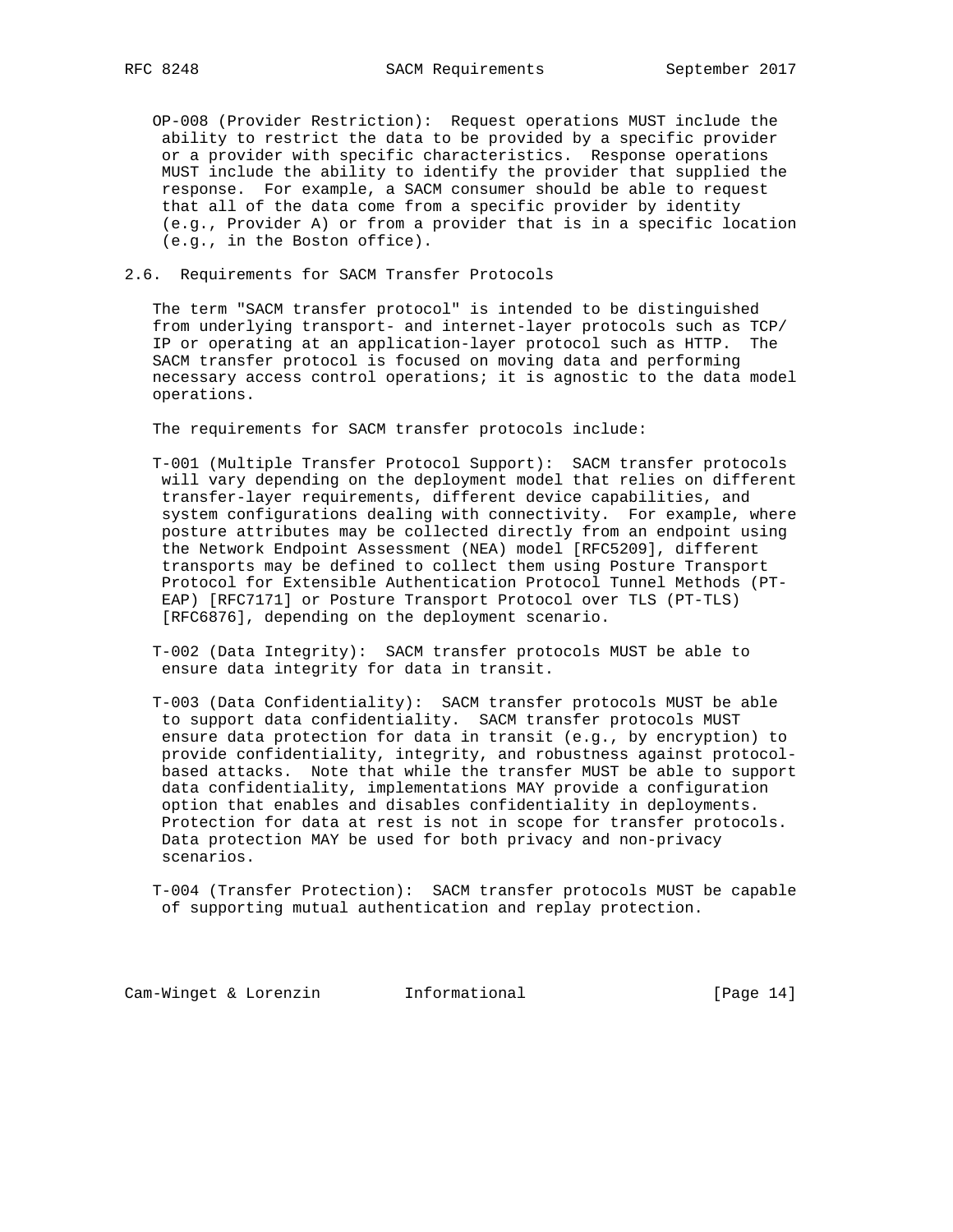OP-008 (Provider Restriction): Request operations MUST include the ability to restrict the data to be provided by a specific provider or a provider with specific characteristics. Response operations MUST include the ability to identify the provider that supplied the response. For example, a SACM consumer should be able to request that all of the data come from a specific provider by identity (e.g., Provider A) or from a provider that is in a specific location (e.g., in the Boston office).

## 2.6. Requirements for SACM Transfer Protocols

 The term "SACM transfer protocol" is intended to be distinguished from underlying transport- and internet-layer protocols such as TCP/ IP or operating at an application-layer protocol such as HTTP. The SACM transfer protocol is focused on moving data and performing necessary access control operations; it is agnostic to the data model operations.

The requirements for SACM transfer protocols include:

- T-001 (Multiple Transfer Protocol Support): SACM transfer protocols will vary depending on the deployment model that relies on different transfer-layer requirements, different device capabilities, and system configurations dealing with connectivity. For example, where posture attributes may be collected directly from an endpoint using the Network Endpoint Assessment (NEA) model [RFC5209], different transports may be defined to collect them using Posture Transport Protocol for Extensible Authentication Protocol Tunnel Methods (PT- EAP) [RFC7171] or Posture Transport Protocol over TLS (PT-TLS) [RFC6876], depending on the deployment scenario.
- T-002 (Data Integrity): SACM transfer protocols MUST be able to ensure data integrity for data in transit.
- T-003 (Data Confidentiality): SACM transfer protocols MUST be able to support data confidentiality. SACM transfer protocols MUST ensure data protection for data in transit (e.g., by encryption) to provide confidentiality, integrity, and robustness against protocol based attacks. Note that while the transfer MUST be able to support data confidentiality, implementations MAY provide a configuration option that enables and disables confidentiality in deployments. Protection for data at rest is not in scope for transfer protocols. Data protection MAY be used for both privacy and non-privacy scenarios.

 T-004 (Transfer Protection): SACM transfer protocols MUST be capable of supporting mutual authentication and replay protection.

Cam-Winget & Lorenzin **Informational** [Page 14]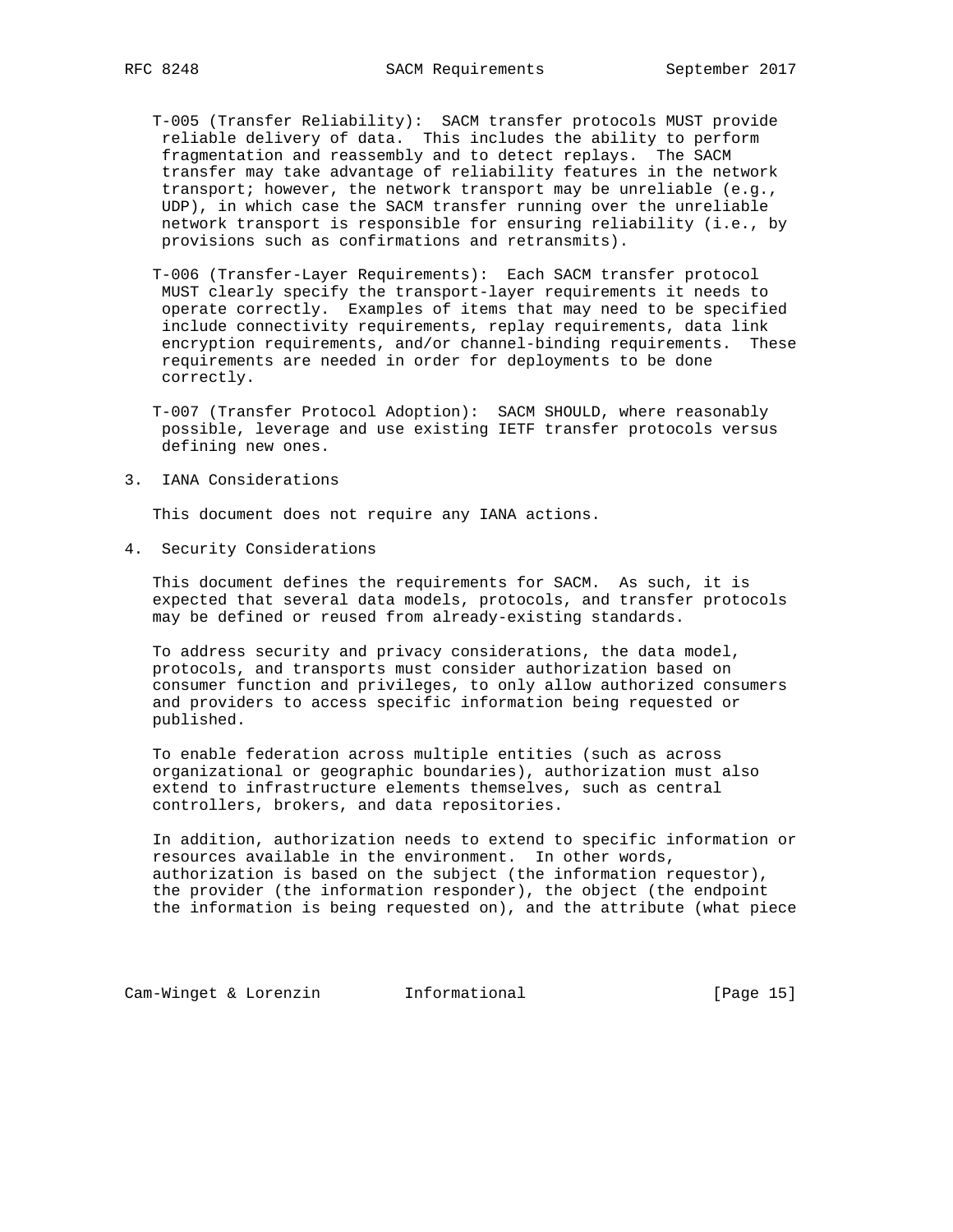- T-005 (Transfer Reliability): SACM transfer protocols MUST provide reliable delivery of data. This includes the ability to perform fragmentation and reassembly and to detect replays. The SACM transfer may take advantage of reliability features in the network transport; however, the network transport may be unreliable (e.g., UDP), in which case the SACM transfer running over the unreliable network transport is responsible for ensuring reliability (i.e., by provisions such as confirmations and retransmits).
- T-006 (Transfer-Layer Requirements): Each SACM transfer protocol MUST clearly specify the transport-layer requirements it needs to operate correctly. Examples of items that may need to be specified include connectivity requirements, replay requirements, data link encryption requirements, and/or channel-binding requirements. These requirements are needed in order for deployments to be done correctly.
- T-007 (Transfer Protocol Adoption): SACM SHOULD, where reasonably possible, leverage and use existing IETF transfer protocols versus defining new ones.
- 3. IANA Considerations

This document does not require any IANA actions.

4. Security Considerations

 This document defines the requirements for SACM. As such, it is expected that several data models, protocols, and transfer protocols may be defined or reused from already-existing standards.

 To address security and privacy considerations, the data model, protocols, and transports must consider authorization based on consumer function and privileges, to only allow authorized consumers and providers to access specific information being requested or published.

 To enable federation across multiple entities (such as across organizational or geographic boundaries), authorization must also extend to infrastructure elements themselves, such as central controllers, brokers, and data repositories.

 In addition, authorization needs to extend to specific information or resources available in the environment. In other words, authorization is based on the subject (the information requestor), the provider (the information responder), the object (the endpoint the information is being requested on), and the attribute (what piece

Cam-Winget & Lorenzin **Informational Informational** [Page 15]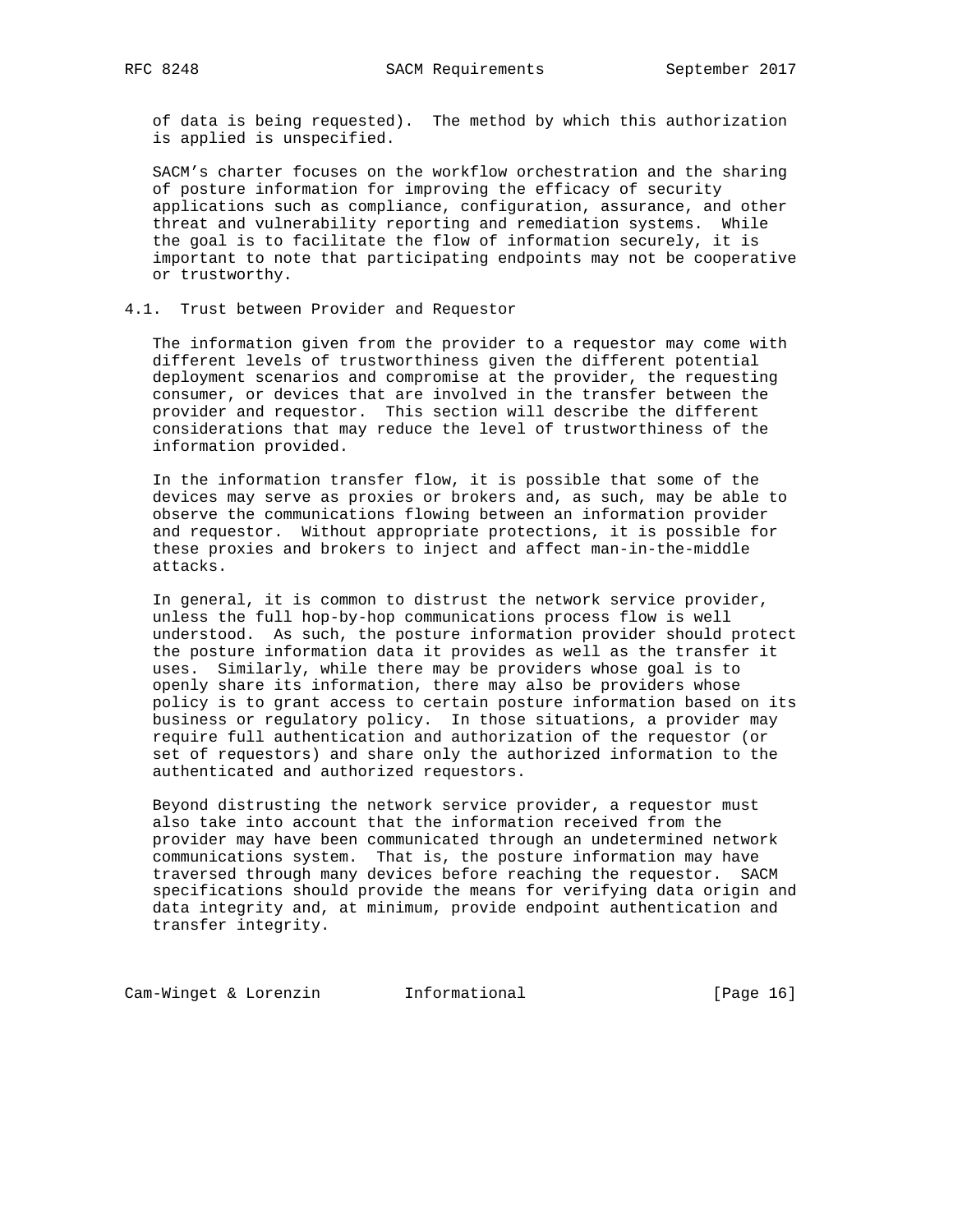of data is being requested). The method by which this authorization is applied is unspecified.

 SACM's charter focuses on the workflow orchestration and the sharing of posture information for improving the efficacy of security applications such as compliance, configuration, assurance, and other threat and vulnerability reporting and remediation systems. While the goal is to facilitate the flow of information securely, it is important to note that participating endpoints may not be cooperative or trustworthy.

## 4.1. Trust between Provider and Requestor

 The information given from the provider to a requestor may come with different levels of trustworthiness given the different potential deployment scenarios and compromise at the provider, the requesting consumer, or devices that are involved in the transfer between the provider and requestor. This section will describe the different considerations that may reduce the level of trustworthiness of the information provided.

 In the information transfer flow, it is possible that some of the devices may serve as proxies or brokers and, as such, may be able to observe the communications flowing between an information provider and requestor. Without appropriate protections, it is possible for these proxies and brokers to inject and affect man-in-the-middle attacks.

 In general, it is common to distrust the network service provider, unless the full hop-by-hop communications process flow is well understood. As such, the posture information provider should protect the posture information data it provides as well as the transfer it uses. Similarly, while there may be providers whose goal is to openly share its information, there may also be providers whose policy is to grant access to certain posture information based on its business or regulatory policy. In those situations, a provider may require full authentication and authorization of the requestor (or set of requestors) and share only the authorized information to the authenticated and authorized requestors.

 Beyond distrusting the network service provider, a requestor must also take into account that the information received from the provider may have been communicated through an undetermined network communications system. That is, the posture information may have traversed through many devices before reaching the requestor. SACM specifications should provide the means for verifying data origin and data integrity and, at minimum, provide endpoint authentication and transfer integrity.

Cam-Winget & Lorenzin **Informational** [Page 16]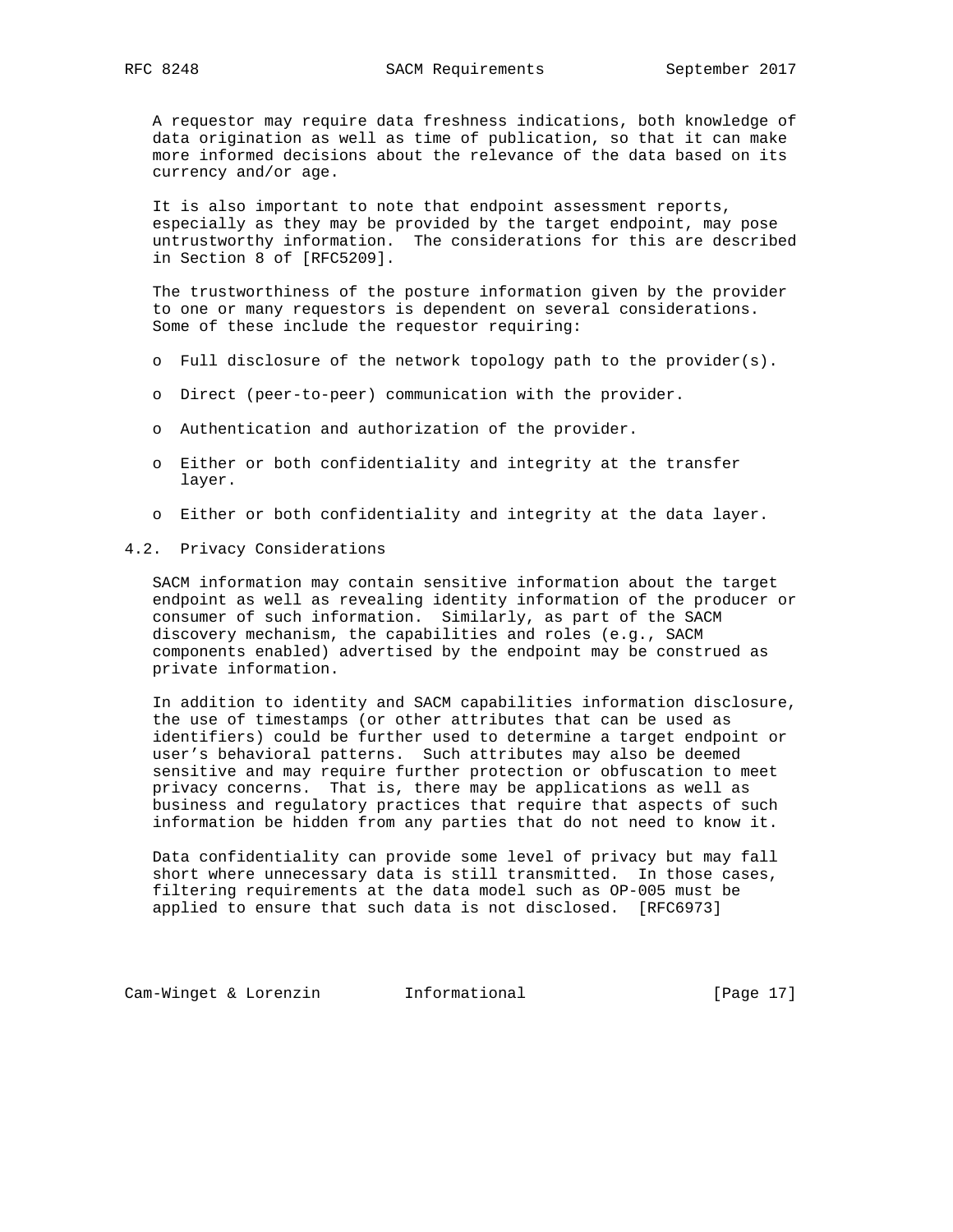A requestor may require data freshness indications, both knowledge of data origination as well as time of publication, so that it can make more informed decisions about the relevance of the data based on its currency and/or age.

 It is also important to note that endpoint assessment reports, especially as they may be provided by the target endpoint, may pose untrustworthy information. The considerations for this are described in Section 8 of [RFC5209].

 The trustworthiness of the posture information given by the provider to one or many requestors is dependent on several considerations. Some of these include the requestor requiring:

- o Full disclosure of the network topology path to the provider(s).
- o Direct (peer-to-peer) communication with the provider.
- o Authentication and authorization of the provider.
- o Either or both confidentiality and integrity at the transfer layer.
- o Either or both confidentiality and integrity at the data layer.
- 4.2. Privacy Considerations

 SACM information may contain sensitive information about the target endpoint as well as revealing identity information of the producer or consumer of such information. Similarly, as part of the SACM discovery mechanism, the capabilities and roles (e.g., SACM components enabled) advertised by the endpoint may be construed as private information.

 In addition to identity and SACM capabilities information disclosure, the use of timestamps (or other attributes that can be used as identifiers) could be further used to determine a target endpoint or user's behavioral patterns. Such attributes may also be deemed sensitive and may require further protection or obfuscation to meet privacy concerns. That is, there may be applications as well as business and regulatory practices that require that aspects of such information be hidden from any parties that do not need to know it.

 Data confidentiality can provide some level of privacy but may fall short where unnecessary data is still transmitted. In those cases, filtering requirements at the data model such as OP-005 must be applied to ensure that such data is not disclosed. [RFC6973]

Cam-Winget & Lorenzin **Informational** [Page 17]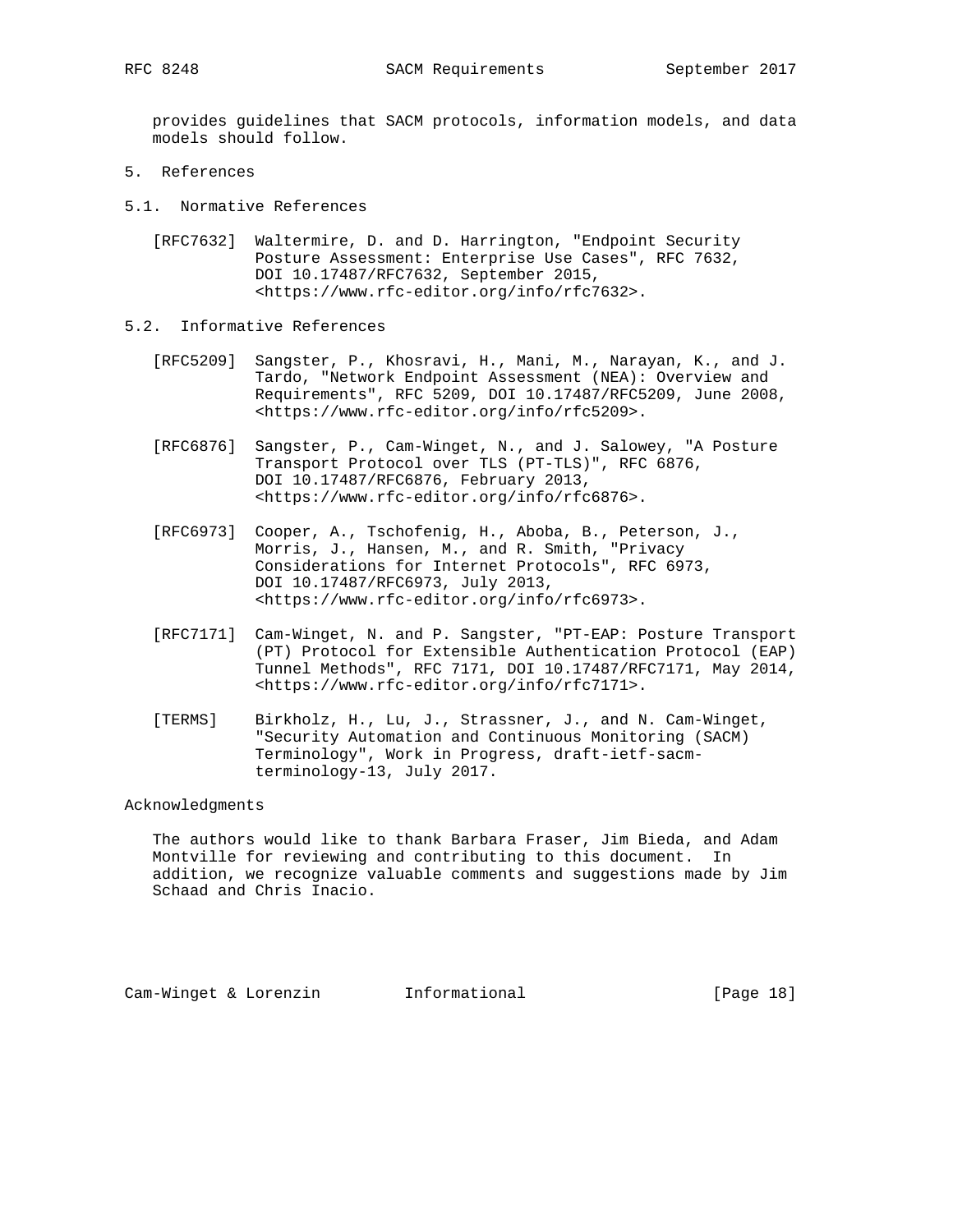provides guidelines that SACM protocols, information models, and data models should follow.

- 5. References
- 5.1. Normative References
	- [RFC7632] Waltermire, D. and D. Harrington, "Endpoint Security Posture Assessment: Enterprise Use Cases", RFC 7632, DOI 10.17487/RFC7632, September 2015, <https://www.rfc-editor.org/info/rfc7632>.
- 5.2. Informative References
	- [RFC5209] Sangster, P., Khosravi, H., Mani, M., Narayan, K., and J. Tardo, "Network Endpoint Assessment (NEA): Overview and Requirements", RFC 5209, DOI 10.17487/RFC5209, June 2008, <https://www.rfc-editor.org/info/rfc5209>.
	- [RFC6876] Sangster, P., Cam-Winget, N., and J. Salowey, "A Posture Transport Protocol over TLS (PT-TLS)", RFC 6876, DOI 10.17487/RFC6876, February 2013, <https://www.rfc-editor.org/info/rfc6876>.
	- [RFC6973] Cooper, A., Tschofenig, H., Aboba, B., Peterson, J., Morris, J., Hansen, M., and R. Smith, "Privacy Considerations for Internet Protocols", RFC 6973, DOI 10.17487/RFC6973, July 2013, <https://www.rfc-editor.org/info/rfc6973>.
	- [RFC7171] Cam-Winget, N. and P. Sangster, "PT-EAP: Posture Transport (PT) Protocol for Extensible Authentication Protocol (EAP) Tunnel Methods", RFC 7171, DOI 10.17487/RFC7171, May 2014, <https://www.rfc-editor.org/info/rfc7171>.
	- [TERMS] Birkholz, H., Lu, J., Strassner, J., and N. Cam-Winget, "Security Automation and Continuous Monitoring (SACM) Terminology", Work in Progress, draft-ietf-sacm terminology-13, July 2017.

## Acknowledgments

 The authors would like to thank Barbara Fraser, Jim Bieda, and Adam Montville for reviewing and contributing to this document. In addition, we recognize valuable comments and suggestions made by Jim Schaad and Chris Inacio.

Cam-Winget & Lorenzin Informational [Page 18]